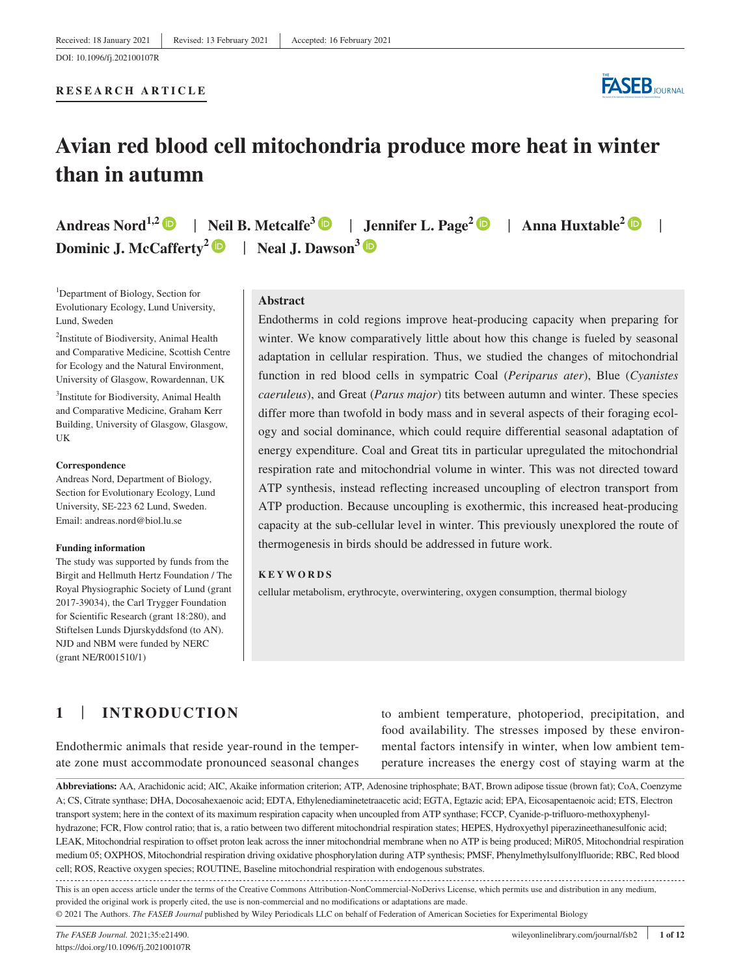### **RESEARCH ARTICLE**



# **Avian red blood cell mitochondria produce more heat in winter than in autumn**

**Andreas Nord1,2** | **Neil B. Metcalfe<sup>3</sup>** | **Jennifer L. Page<sup>2</sup>** | **Anna Huxtable[2](https://orcid.org/0000-0001-5443-5008)** | **Dominic J. McCafferty[2](https://orcid.org/0000-0002-3079-3326)** | **Neal J. Dawson3**

<sup>1</sup>Department of Biology, Section for Evolutionary Ecology, Lund University, Lund, Sweden

<sup>2</sup>Institute of Biodiversity, Animal Health and Comparative Medicine, Scottish Centre for Ecology and the Natural Environment, University of Glasgow, Rowardennan, UK <sup>3</sup>Institute for Biodiversity, Animal Health

and Comparative Medicine, Graham Kerr Building, University of Glasgow, Glasgow, UK

#### **Correspondence**

Andreas Nord, Department of Biology, Section for Evolutionary Ecology, Lund University, SE-223 62 Lund, Sweden. Email: [andreas.nord@biol.lu.se](mailto:andreas.nord@biol.lu.se)

#### **Funding information**

The study was supported by funds from the Birgit and Hellmuth Hertz Foundation / The Royal Physiographic Society of Lund (grant 2017-39034), the Carl Trygger Foundation for Scientific Research (grant 18:280), and Stiftelsen Lunds Djurskyddsfond (to AN). NJD and NBM were funded by NERC (grant NE/R001510/1)

### **Abstract**

Endotherms in cold regions improve heat-producing capacity when preparing for winter. We know comparatively little about how this change is fueled by seasonal adaptation in cellular respiration. Thus, we studied the changes of mitochondrial function in red blood cells in sympatric Coal (*Periparus ater*), Blue (*Cyanistes caeruleus*), and Great (*Parus major*) tits between autumn and winter. These species differ more than twofold in body mass and in several aspects of their foraging ecology and social dominance, which could require differential seasonal adaptation of energy expenditure. Coal and Great tits in particular upregulated the mitochondrial respiration rate and mitochondrial volume in winter. This was not directed toward ATP synthesis, instead reflecting increased uncoupling of electron transport from ATP production. Because uncoupling is exothermic, this increased heat-producing capacity at the sub-cellular level in winter. This previously unexplored the route of thermogenesis in birds should be addressed in future work.

### **KEYWORDS**

cellular metabolism, erythrocyte, overwintering, oxygen consumption, thermal biology

## **1** | **INTRODUCTION**

Endothermic animals that reside year-round in the temperate zone must accommodate pronounced seasonal changes to ambient temperature, photoperiod, precipitation, and food availability. The stresses imposed by these environmental factors intensify in winter, when low ambient temperature increases the energy cost of staying warm at the

**Abbreviations:** AA, Arachidonic acid; AIC, Akaike information criterion; ATP, Adenosine triphosphate; BAT, Brown adipose tissue (brown fat); CoA, Coenzyme A; CS, Citrate synthase; DHA, Docosahexaenoic acid; EDTA, Ethylenediaminetetraacetic acid; EGTA, Egtazic acid; EPA, Eicosapentaenoic acid; ETS, Electron transport system; here in the context of its maximum respiration capacity when uncoupled from ATP synthase; FCCP, Cyanide-p-trifluoro-methoxyphenylhydrazone; FCR, Flow control ratio; that is, a ratio between two different mitochondrial respiration states; HEPES, Hydroxyethyl piperazineethanesulfonic acid; LEAK, Mitochondrial respiration to offset proton leak across the inner mitochondrial membrane when no ATP is being produced; MiR05, Mitochondrial respiration medium 05; OXPHOS, Mitochondrial respiration driving oxidative phosphorylation during ATP synthesis; PMSF, Phenylmethylsulfonylfluoride; RBC, Red blood cell; ROS, Reactive oxygen species; ROUTINE, Baseline mitochondrial respiration with endogenous substrates.

This is an open access article under the terms of the [Creative Commons Attribution-NonCommercial-NoDerivs](http://creativecommons.org/licenses/by-nc-nd/4.0/) License, which permits use and distribution in any medium, provided the original work is properly cited, the use is non-commercial and no modifications or adaptations are made.

© 2021 The Authors. *The FASEB Journal* published by Wiley Periodicals LLC on behalf of Federation of American Societies for Experimental Biology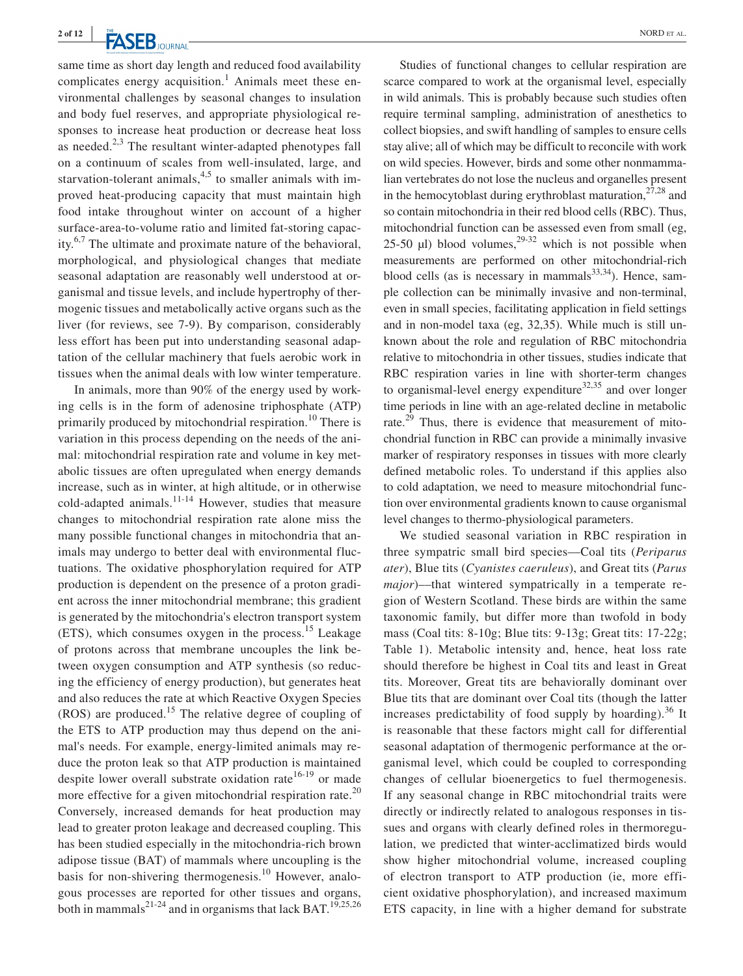same time as short day length and reduced food availability complicates energy acquisition.<sup>1</sup> Animals meet these environmental challenges by seasonal changes to insulation and body fuel reserves, and appropriate physiological responses to increase heat production or decrease heat loss as needed.<sup>2,3</sup> The resultant winter-adapted phenotypes fall on a continuum of scales from well-insulated, large, and starvation-tolerant animals, $4.5$  to smaller animals with improved heat-producing capacity that must maintain high food intake throughout winter on account of a higher surface-area-to-volume ratio and limited fat-storing capacity.6,7 The ultimate and proximate nature of the behavioral, morphological, and physiological changes that mediate seasonal adaptation are reasonably well understood at organismal and tissue levels, and include hypertrophy of thermogenic tissues and metabolically active organs such as the liver (for reviews, see 7-9). By comparison, considerably less effort has been put into understanding seasonal adaptation of the cellular machinery that fuels aerobic work in tissues when the animal deals with low winter temperature.

In animals, more than 90% of the energy used by working cells is in the form of adenosine triphosphate (ATP) primarily produced by mitochondrial respiration.<sup>10</sup> There is variation in this process depending on the needs of the animal: mitochondrial respiration rate and volume in key metabolic tissues are often upregulated when energy demands increase, such as in winter, at high altitude, or in otherwise cold-adapted animals. $11-14$  However, studies that measure changes to mitochondrial respiration rate alone miss the many possible functional changes in mitochondria that animals may undergo to better deal with environmental fluctuations. The oxidative phosphorylation required for ATP production is dependent on the presence of a proton gradient across the inner mitochondrial membrane; this gradient is generated by the mitochondria's electron transport system  $(ETS)$ , which consumes oxygen in the process.<sup>15</sup> Leakage of protons across that membrane uncouples the link between oxygen consumption and ATP synthesis (so reducing the efficiency of energy production), but generates heat and also reduces the rate at which Reactive Oxygen Species (ROS) are produced.15 The relative degree of coupling of the ETS to ATP production may thus depend on the animal's needs. For example, energy-limited animals may reduce the proton leak so that ATP production is maintained despite lower overall substrate oxidation rate<sup>16-19</sup> or made more effective for a given mitochondrial respiration rate.<sup>20</sup> Conversely, increased demands for heat production may lead to greater proton leakage and decreased coupling. This has been studied especially in the mitochondria-rich brown adipose tissue (BAT) of mammals where uncoupling is the basis for non-shivering thermogenesis.<sup>10</sup> However, analogous processes are reported for other tissues and organs, both in mammals<sup>21-24</sup> and in organisms that lack BAT.<sup>19,25,26</sup>

Studies of functional changes to cellular respiration are scarce compared to work at the organismal level, especially in wild animals. This is probably because such studies often require terminal sampling, administration of anesthetics to collect biopsies, and swift handling of samples to ensure cells stay alive; all of which may be difficult to reconcile with work on wild species. However, birds and some other nonmammalian vertebrates do not lose the nucleus and organelles present in the hemocytoblast during erythroblast maturation, $27,28$  and so contain mitochondria in their red blood cells (RBC). Thus, mitochondrial function can be assessed even from small (eg, 25-50  $\mu$ l) blood volumes,<sup>29-32</sup> which is not possible when measurements are performed on other mitochondrial-rich blood cells (as is necessary in mammals $^{33,34}$ ). Hence, sample collection can be minimally invasive and non-terminal, even in small species, facilitating application in field settings and in non-model taxa (eg, 32,35). While much is still unknown about the role and regulation of RBC mitochondria relative to mitochondria in other tissues, studies indicate that RBC respiration varies in line with shorter-term changes to organismal-level energy expenditure<sup>32,35</sup> and over longer time periods in line with an age-related decline in metabolic rate.<sup>29</sup> Thus, there is evidence that measurement of mitochondrial function in RBC can provide a minimally invasive marker of respiratory responses in tissues with more clearly defined metabolic roles. To understand if this applies also to cold adaptation, we need to measure mitochondrial function over environmental gradients known to cause organismal level changes to thermo-physiological parameters.

We studied seasonal variation in RBC respiration in three sympatric small bird species––Coal tits (*Periparus ater*), Blue tits (*Cyanistes caeruleus*), and Great tits (*Parus major*)—that wintered sympatrically in a temperate region of Western Scotland. These birds are within the same taxonomic family, but differ more than twofold in body mass (Coal tits: 8-10g; Blue tits: 9-13g; Great tits: 17-22g; Table 1). Metabolic intensity and, hence, heat loss rate should therefore be highest in Coal tits and least in Great tits. Moreover, Great tits are behaviorally dominant over Blue tits that are dominant over Coal tits (though the latter increases predictability of food supply by hoarding).<sup>36</sup> It is reasonable that these factors might call for differential seasonal adaptation of thermogenic performance at the organismal level, which could be coupled to corresponding changes of cellular bioenergetics to fuel thermogenesis. If any seasonal change in RBC mitochondrial traits were directly or indirectly related to analogous responses in tissues and organs with clearly defined roles in thermoregulation, we predicted that winter-acclimatized birds would show higher mitochondrial volume, increased coupling of electron transport to ATP production (ie, more efficient oxidative phosphorylation), and increased maximum ETS capacity, in line with a higher demand for substrate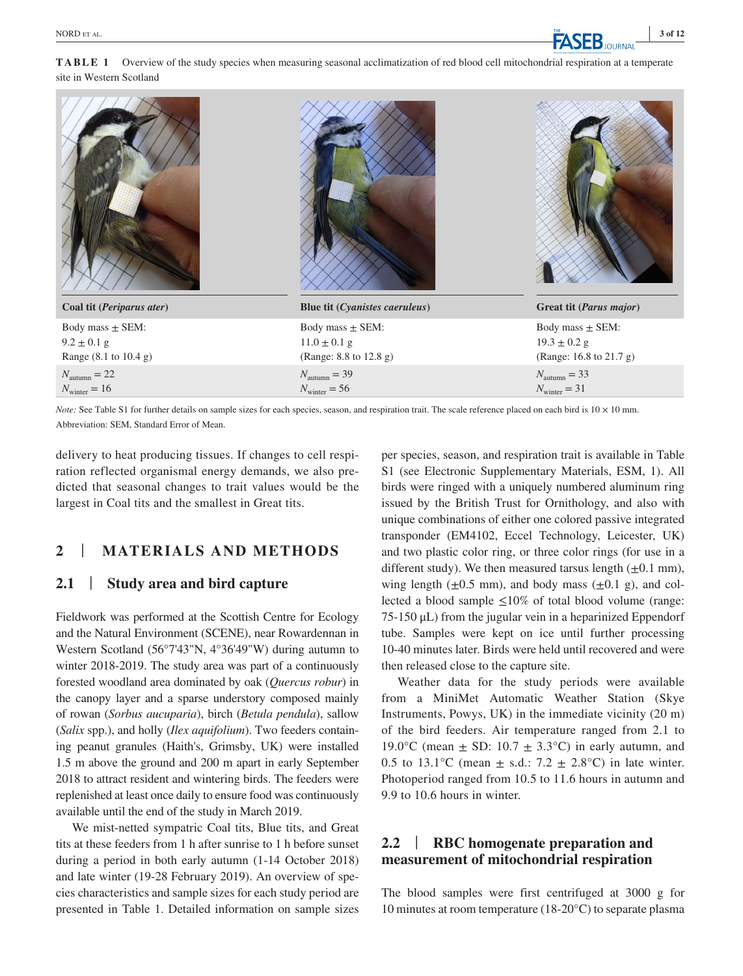**TABLE 1** Overview of the study species when measuring seasonal acclimatization of red blood cell mitochondrial respiration at a temperate site in Western Scotland

| Coal tit (Periparus ater) | Blue tit (Cyanistes caeruleus) | Great tit (Parus major)  |
|---------------------------|--------------------------------|--------------------------|
| Body mass $\pm$ SEM:      | Body mass $\pm$ SEM:           | Body mass $\pm$ SEM:     |
| $9.2 \pm 0.1$ g           | $11.0 \pm 0.1$ g               | $19.3 \pm 0.2$ g         |
| Range (8.1 to 10.4 g)     | (Range: 8.8 to 12.8 g)         | (Range: 16.8 to 21.7 g)  |
| $N_{\text{autumn}} = 22$  | $N_{\text{autumn}} = 39$       | $N_{\text{autumn}} = 33$ |
| $N_{\text{winter}} = 16$  | $N_{\text{winter}} = 56$       | $N_{\text{winter}} = 31$ |
|                           |                                |                          |

*Note:* See Table S1 for further details on sample sizes for each species, season, and respiration trait. The scale reference placed on each bird is  $10 \times 10$  mm. Abbreviation: SEM, Standard Error of Mean.

delivery to heat producing tissues. If changes to cell respiration reflected organismal energy demands, we also predicted that seasonal changes to trait values would be the largest in Coal tits and the smallest in Great tits.

## **2** | **MATERIALS AND METHODS**

## **2.1** | **Study area and bird capture**

Fieldwork was performed at the Scottish Centre for Ecology and the Natural Environment (SCENE), near Rowardennan in Western Scotland (56°7'43"N, 4°36'49"W) during autumn to winter 2018-2019. The study area was part of a continuously forested woodland area dominated by oak (*Quercus robur*) in the canopy layer and a sparse understory composed mainly of rowan (*Sorbus aucuparia*), birch (*Betula pendula*), sallow (*Salix* spp.), and holly (*Ilex aquifolium*). Two feeders containing peanut granules (Haith's, Grimsby, UK) were installed 1.5 m above the ground and 200 m apart in early September 2018 to attract resident and wintering birds. The feeders were replenished at least once daily to ensure food was continuously available until the end of the study in March 2019.

We mist-netted sympatric Coal tits, Blue tits, and Great tits at these feeders from 1 h after sunrise to 1 h before sunset during a period in both early autumn (1-14 October 2018) and late winter (19-28 February 2019). An overview of species characteristics and sample sizes for each study period are presented in Table 1. Detailed information on sample sizes per species, season, and respiration trait is available in Table S1 (see Electronic Supplementary Materials, ESM, 1). All birds were ringed with a uniquely numbered aluminum ring issued by the British Trust for Ornithology, and also with unique combinations of either one colored passive integrated transponder (EM4102, Eccel Technology, Leicester, UK) and two plastic color ring, or three color rings (for use in a different study). We then measured tarsus length  $(\pm 0.1 \text{ mm})$ , wing length  $(\pm 0.5 \text{ mm})$ , and body mass  $(\pm 0.1 \text{ g})$ , and collected a blood sample  $\leq 10\%$  of total blood volume (range: 75-150 μL) from the jugular vein in a heparinized Eppendorf tube. Samples were kept on ice until further processing 10-40 minutes later. Birds were held until recovered and were then released close to the capture site.

Weather data for the study periods were available from a MiniMet Automatic Weather Station (Skye Instruments, Powys, UK) in the immediate vicinity (20 m) of the bird feeders. Air temperature ranged from 2.1 to 19.0°C (mean  $\pm$  SD: 10.7  $\pm$  3.3°C) in early autumn, and 0.5 to 13.1°C (mean  $\pm$  s.d.: 7.2  $\pm$  2.8°C) in late winter. Photoperiod ranged from 10.5 to 11.6 hours in autumn and 9.9 to 10.6 hours in winter.

## **2.2** | **RBC homogenate preparation and measurement of mitochondrial respiration**

The blood samples were first centrifuged at 3000 g for 10 minutes at room temperature (18-20°C) to separate plasma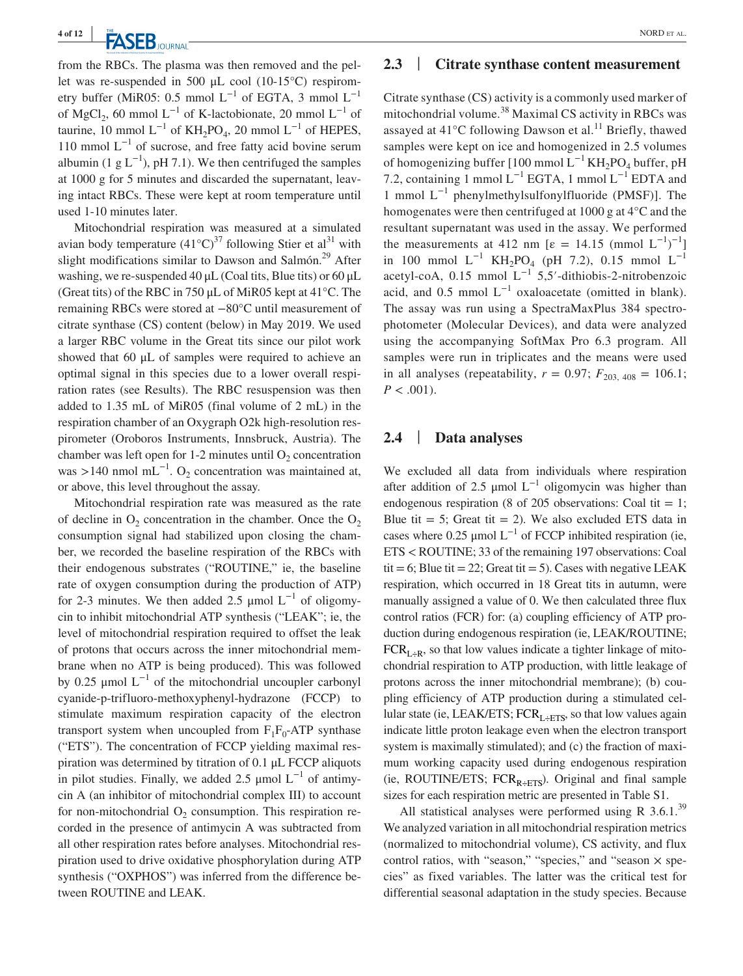**TA CED** NORD ET AL.

from the RBCs. The plasma was then removed and the pellet was re-suspended in 500  $\mu$ L cool (10-15°C) respirometry buffer (MiR05: 0.5 mmol  $L^{-1}$  of EGTA, 3 mmol  $L^{-1}$ of MgCl<sub>2</sub>, 60 mmol L<sup>-1</sup> of K-lactobionate, 20 mmol L<sup>-1</sup> of taurine, 10 mmol  $L^{-1}$  of KH<sub>2</sub>PO<sub>4</sub>, 20 mmol  $L^{-1}$  of HEPES, 110 mmol  $L^{-1}$  of sucrose, and free fatty acid bovine serum albumin (1 g  $L^{-1}$ ), pH 7.1). We then centrifuged the samples at 1000 g for 5 minutes and discarded the supernatant, leaving intact RBCs. These were kept at room temperature until used 1-10 minutes later.

Mitochondrial respiration was measured at a simulated avian body temperature  $(41^{\circ}C)^{37}$  following Stier et al<sup>31</sup> with slight modifications similar to Dawson and Salmón.<sup>29</sup> After washing, we re-suspended  $40 \mu L$  (Coal tits, Blue tits) or  $60 \mu L$ (Great tits) of the RBC in 750 μL of MiR05 kept at 41°C. The remaining RBCs were stored at −80°C until measurement of citrate synthase (CS) content (below) in May 2019. We used a larger RBC volume in the Great tits since our pilot work showed that 60 μL of samples were required to achieve an optimal signal in this species due to a lower overall respiration rates (see Results). The RBC resuspension was then added to 1.35 mL of MiR05 (final volume of 2 mL) in the respiration chamber of an Oxygraph O2k high-resolution respirometer (Oroboros Instruments, Innsbruck, Austria). The chamber was left open for 1-2 minutes until  $O_2$  concentration was >140 nmol mL<sup>-1</sup>. O<sub>2</sub> concentration was maintained at, or above, this level throughout the assay.

Mitochondrial respiration rate was measured as the rate of decline in  $O_2$  concentration in the chamber. Once the  $O_2$ consumption signal had stabilized upon closing the chamber, we recorded the baseline respiration of the RBCs with their endogenous substrates ("ROUTINE," ie, the baseline rate of oxygen consumption during the production of ATP) for 2-3 minutes. We then added 2.5 µmol  $L^{-1}$  of oligomycin to inhibit mitochondrial ATP synthesis ("LEAK"; ie, the level of mitochondrial respiration required to offset the leak of protons that occurs across the inner mitochondrial membrane when no ATP is being produced). This was followed by 0.25 μmol  $L^{-1}$  of the mitochondrial uncoupler carbonyl cyanide-p-trifluoro-methoxyphenyl-hydrazone (FCCP) to stimulate maximum respiration capacity of the electron transport system when uncoupled from  $F_1F_0$ -ATP synthase ("ETS"). The concentration of FCCP yielding maximal respiration was determined by titration of 0.1 μL FCCP aliquots in pilot studies. Finally, we added 2.5 µmol  $L^{-1}$  of antimycin A (an inhibitor of mitochondrial complex III) to account for non-mitochondrial  $O_2$  consumption. This respiration recorded in the presence of antimycin A was subtracted from all other respiration rates before analyses. Mitochondrial respiration used to drive oxidative phosphorylation during ATP synthesis ("OXPHOS") was inferred from the difference between ROUTINE and LEAK.

## **2.3** | **Citrate synthase content measurement**

Citrate synthase (CS) activity is a commonly used marker of mitochondrial volume.<sup>38</sup> Maximal CS activity in RBCs was assayed at  $41^{\circ}$ C following Dawson et al.<sup>11</sup> Briefly, thawed samples were kept on ice and homogenized in 2.5 volumes of homogenizing buffer [100 mmol  $L^{-1}$  KH<sub>2</sub>PO<sub>4</sub> buffer, pH 7.2, containing 1 mmol  $L^{-1}$  EGTA, 1 mmol  $L^{-1}$  EDTA and 1 mmol  $L^{-1}$  phenylmethylsulfonylfluoride (PMSF)]. The homogenates were then centrifuged at 1000 g at 4°C and the resultant supernatant was used in the assay. We performed the measurements at 412 nm  $[\varepsilon = 14.15 \pmod{L^{-1}}]$ in 100 mmol  $L^{-1}$  KH<sub>2</sub>PO<sub>4</sub> (pH 7.2), 0.15 mmol  $L^{-1}$ acetyl-coA, 0.15 mmol  $L^{-1}$  5,5′-dithiobis-2-nitrobenzoic acid, and 0.5 mmol  $L^{-1}$  oxaloacetate (omitted in blank). The assay was run using a SpectraMaxPlus 384 spectrophotometer (Molecular Devices), and data were analyzed using the accompanying SoftMax Pro 6.3 program. All samples were run in triplicates and the means were used in all analyses (repeatability,  $r = 0.97$ ;  $F_{203, 408} = 106.1$ ;  $P < .001$ ).

## **2.4** | **Data analyses**

We excluded all data from individuals where respiration after addition of 2.5  $\mu$ mol L<sup>-1</sup> oligomycin was higher than endogenous respiration (8 of 205 observations: Coal tit  $= 1$ ; Blue tit  $= 5$ ; Great tit  $= 2$ ). We also excluded ETS data in cases where 0.25 µmol  $L^{-1}$  of FCCP inhibited respiration (ie, ETS < ROUTINE; 33 of the remaining 197 observations: Coal tit = 6; Blue tit = 22; Great tit = 5). Cases with negative LEAK respiration, which occurred in 18 Great tits in autumn, were manually assigned a value of 0. We then calculated three flux control ratios (FCR) for: (a) coupling efficiency of ATP production during endogenous respiration (ie, LEAK/ROUTINE;  $FCR<sub>L<sub>+</sub>R</sub>$ , so that low values indicate a tighter linkage of mitochondrial respiration to ATP production, with little leakage of protons across the inner mitochondrial membrane); (b) coupling efficiency of ATP production during a stimulated cellular state (ie, LEAK/ETS;  $FCR<sub>L-ETS</sub>$ , so that low values again indicate little proton leakage even when the electron transport system is maximally stimulated); and (c) the fraction of maximum working capacity used during endogenous respiration (ie, ROUTINE/ETS;  $FCR_{R+ETS}$ ). Original and final sample sizes for each respiration metric are presented in Table S1.

All statistical analyses were performed using R  $3.6.1.^{39}$ We analyzed variation in all mitochondrial respiration metrics (normalized to mitochondrial volume), CS activity, and flux control ratios, with "season," "species," and "season  $\times$  species" as fixed variables. The latter was the critical test for differential seasonal adaptation in the study species. Because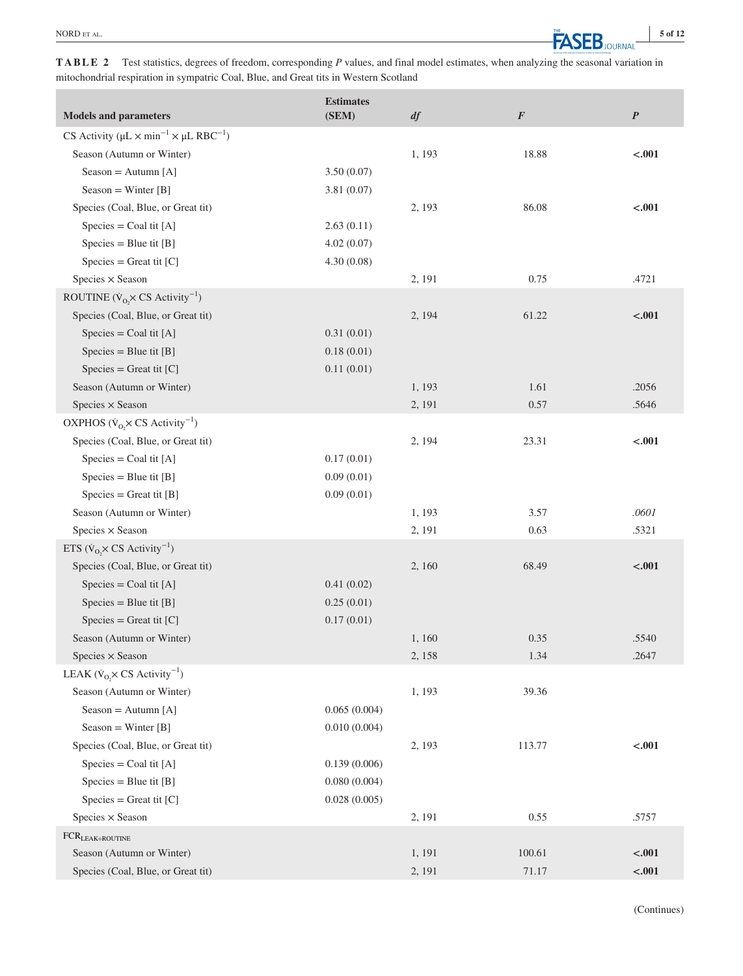**TABLE 2** Test statistics, degrees of freedom, corresponding *P* values, and final model estimates, when analyzing the seasonal variation in mitochondrial respiration in sympatric Coal, Blue, and Great tits in Western Scotland

| <b>Models and parameters</b>                                                          | <b>Estimates</b><br>(SEM) | df     | $\pmb{F}$ | $\boldsymbol{P}$ |
|---------------------------------------------------------------------------------------|---------------------------|--------|-----------|------------------|
| CS Activity ( $\mu$ L $\times$ min <sup>-1</sup> $\times$ $\mu$ L RBC <sup>-1</sup> ) |                           |        |           |                  |
| Season (Autumn or Winter)                                                             |                           | 1, 193 | 18.88     | $-.001$          |
| Season = $Autumn [A]$                                                                 | 3.50(0.07)                |        |           |                  |
| $Sear = Winter [B]$                                                                   | 3.81(0.07)                |        |           |                  |
| Species (Coal, Blue, or Great tit)                                                    |                           | 2, 193 | 86.08     | $-.001$          |
| $\text{Species} = \text{Coal tit } [A]$                                               | 2.63(0.11)                |        |           |                  |
| $\text{Species} = \text{Blue}$ tit [B]                                                | 4.02(0.07)                |        |           |                  |
| $\text{species} = \text{Great tit } [C]$                                              | 4.30(0.08)                |        |           |                  |
| Species $\times$ Season                                                               |                           | 2, 191 | 0.75      | .4721            |
| ROUTINE $(\dot{V}_{O_2} \times CS \text{ Activity}^{-1})$                             |                           |        |           |                  |
| Species (Coal, Blue, or Great tit)                                                    |                           | 2, 194 | 61.22     | $-.001$          |
| $\text{Species} = \text{Coal tit} [\text{A}]$                                         | 0.31(0.01)                |        |           |                  |
| $\text{Species} = \text{Blue}$ tit [B]                                                | 0.18(0.01)                |        |           |                  |
| $\text{species} = \text{Great tit } [C]$                                              | 0.11(0.01)                |        |           |                  |
| Season (Autumn or Winter)                                                             |                           | 1, 193 | 1.61      | .2056            |
| Species × Season                                                                      |                           | 2, 191 | 0.57      | .5646            |
| OXPHOS ( $\dot{V}_{O_2} \times CS$ Activity <sup>-1</sup> )                           |                           |        |           |                  |
| Species (Coal, Blue, or Great tit)                                                    |                           | 2, 194 | 23.31     | $-.001$          |
| $\text{species} = \text{Coal tit} [\text{A}]$                                         | 0.17(0.01)                |        |           |                  |
| $Species = Blue$ tit $[B]$                                                            | 0.09(0.01)                |        |           |                  |
| $\text{species} = \text{Great tit } [B]$                                              | 0.09(0.01)                |        |           |                  |
| Season (Autumn or Winter)                                                             |                           | 1, 193 | 3.57      | .0601            |
| Species $\times$ Season                                                               |                           | 2, 191 | 0.63      | .5321            |
| ETS ( $\dot{V}_{O_2} \times CS$ Activity <sup>-1</sup> )                              |                           |        |           |                  |
| Species (Coal, Blue, or Great tit)                                                    |                           | 2, 160 | 68.49     | $-.001$          |
| $\text{species} = \text{Coal tit} [\text{A}]$                                         | 0.41(0.02)                |        |           |                  |
| $\text{Species} = \text{Blue}$ tit [B]                                                | 0.25(0.01)                |        |           |                  |
| $\text{species} = \text{Great tit } [C]$                                              | 0.17(0.01)                |        |           |                  |
| Season (Autumn or Winter)                                                             |                           | 1,160  | 0.35      | .5540            |
| Species × Season                                                                      |                           | 2, 158 | 1.34      | .2647            |
| LEAK ( $\dot{V}_O \times CS$ Activity <sup>-1</sup> )                                 |                           |        |           |                  |
| Season (Autumn or Winter)                                                             |                           | 1, 193 | 39.36     |                  |
| Season = Autumn [A]                                                                   | 0.065(0.004)              |        |           |                  |
| Season = Winter $[B]$                                                                 | 0.010(0.004)              |        |           |                  |
| Species (Coal, Blue, or Great tit)                                                    |                           | 2, 193 | 113.77    | $-.001$          |
| $\text{species} = \text{Coal tit} [\text{A}]$                                         | 0.139(0.006)              |        |           |                  |
| $\text{species} = \text{Blue} \text{ tit } [B]$                                       | 0.080(0.004)              |        |           |                  |
| $Species = Great\,$ tit $[C]$                                                         | 0.028(0.005)              |        |           |                  |
| Species $\times$ Season                                                               |                           | 2, 191 | 0.55      | .5757            |
| $FCR_{LEAK \div ROUTINE}$                                                             |                           |        |           |                  |
| Season (Autumn or Winter)                                                             |                           | 1, 191 | 100.61    | $-.001$          |
| Species (Coal, Blue, or Great tit)                                                    |                           | 2, 191 | 71.17     | $<0.01$          |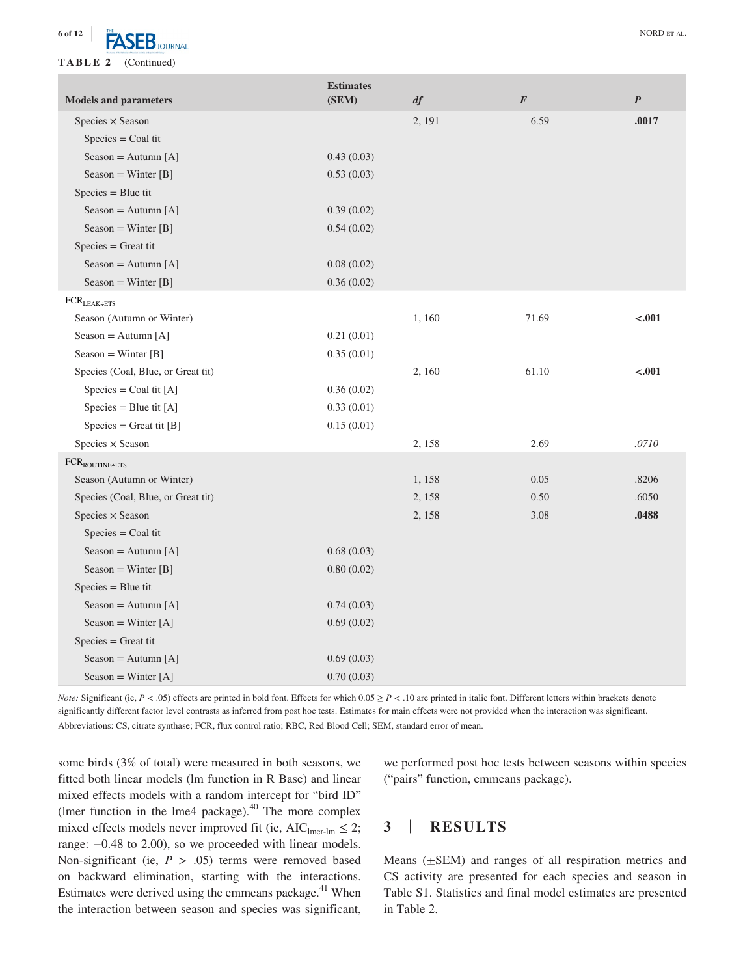**6 of 12 <sup>|</sup> TA CED** NORD ET AL.

**TABLE 2** (Continued)

| 6.59<br>.0017<br>Species × Season<br>2, 191<br>$Species = Coal tit$<br>0.43(0.03)<br>Season = Autumn [A]<br>Season = Winter $[B]$<br>0.53(0.03)<br>$Species = Blue$ tit<br>Season = Autumn [A]<br>0.39(0.02)<br>Season = Winter $[B]$<br>0.54(0.02)<br>$Species = Great\,$<br>Season = Autumn [A]<br>0.08(0.02)<br>Season = Winter $[B]$<br>0.36(0.02)<br>$FCR$ <sub>LEAK÷ETS</sub><br>Season (Autumn or Winter)<br>$-.001$<br>1,160<br>71.69<br>Season = Autumn [A]<br>0.21(0.01)<br>Season = Winter $[B]$<br>0.35(0.01)<br>Species (Coal, Blue, or Great tit)<br>61.10<br>$-.001$<br>2, 160<br>Species = Coal tit [A]<br>0.36(0.02)<br>$\text{species} = \text{Blue}$ tit [A]<br>0.33(0.01)<br>$Species = Great tit [B]$<br>0.15(0.01)<br>Species × Season<br>2.69<br>.0710<br>2, 158<br>$FCR_{ROUTINE+ETS}$<br>Season (Autumn or Winter)<br>1,158<br>0.05<br>.8206<br>2, 158<br>.6050<br>Species (Coal, Blue, or Great tit)<br>0.50<br>2, 158<br>3.08<br>.0488<br>Species $\times$ Season<br>$Species = Coal tit$<br>Season = Autumn [A]<br>0.68(0.03)<br>Season = Winter $[B]$<br>0.80(0.02)<br>$Species = Blue$ tit<br>Season = Autumn [A]<br>0.74(0.03)<br>Season = Winter $[A]$<br>0.69(0.02)<br>$Species = Great tit$ | <b>Models and parameters</b> | <b>Estimates</b><br>(SEM) | df | $\boldsymbol{F}$ | $\boldsymbol{P}$ |
|-------------------------------------------------------------------------------------------------------------------------------------------------------------------------------------------------------------------------------------------------------------------------------------------------------------------------------------------------------------------------------------------------------------------------------------------------------------------------------------------------------------------------------------------------------------------------------------------------------------------------------------------------------------------------------------------------------------------------------------------------------------------------------------------------------------------------------------------------------------------------------------------------------------------------------------------------------------------------------------------------------------------------------------------------------------------------------------------------------------------------------------------------------------------------------------------------------------------------------|------------------------------|---------------------------|----|------------------|------------------|
|                                                                                                                                                                                                                                                                                                                                                                                                                                                                                                                                                                                                                                                                                                                                                                                                                                                                                                                                                                                                                                                                                                                                                                                                                               |                              |                           |    |                  |                  |
|                                                                                                                                                                                                                                                                                                                                                                                                                                                                                                                                                                                                                                                                                                                                                                                                                                                                                                                                                                                                                                                                                                                                                                                                                               |                              |                           |    |                  |                  |
|                                                                                                                                                                                                                                                                                                                                                                                                                                                                                                                                                                                                                                                                                                                                                                                                                                                                                                                                                                                                                                                                                                                                                                                                                               |                              |                           |    |                  |                  |
|                                                                                                                                                                                                                                                                                                                                                                                                                                                                                                                                                                                                                                                                                                                                                                                                                                                                                                                                                                                                                                                                                                                                                                                                                               |                              |                           |    |                  |                  |
|                                                                                                                                                                                                                                                                                                                                                                                                                                                                                                                                                                                                                                                                                                                                                                                                                                                                                                                                                                                                                                                                                                                                                                                                                               |                              |                           |    |                  |                  |
|                                                                                                                                                                                                                                                                                                                                                                                                                                                                                                                                                                                                                                                                                                                                                                                                                                                                                                                                                                                                                                                                                                                                                                                                                               |                              |                           |    |                  |                  |
|                                                                                                                                                                                                                                                                                                                                                                                                                                                                                                                                                                                                                                                                                                                                                                                                                                                                                                                                                                                                                                                                                                                                                                                                                               |                              |                           |    |                  |                  |
|                                                                                                                                                                                                                                                                                                                                                                                                                                                                                                                                                                                                                                                                                                                                                                                                                                                                                                                                                                                                                                                                                                                                                                                                                               |                              |                           |    |                  |                  |
|                                                                                                                                                                                                                                                                                                                                                                                                                                                                                                                                                                                                                                                                                                                                                                                                                                                                                                                                                                                                                                                                                                                                                                                                                               |                              |                           |    |                  |                  |
|                                                                                                                                                                                                                                                                                                                                                                                                                                                                                                                                                                                                                                                                                                                                                                                                                                                                                                                                                                                                                                                                                                                                                                                                                               |                              |                           |    |                  |                  |
|                                                                                                                                                                                                                                                                                                                                                                                                                                                                                                                                                                                                                                                                                                                                                                                                                                                                                                                                                                                                                                                                                                                                                                                                                               |                              |                           |    |                  |                  |
|                                                                                                                                                                                                                                                                                                                                                                                                                                                                                                                                                                                                                                                                                                                                                                                                                                                                                                                                                                                                                                                                                                                                                                                                                               |                              |                           |    |                  |                  |
|                                                                                                                                                                                                                                                                                                                                                                                                                                                                                                                                                                                                                                                                                                                                                                                                                                                                                                                                                                                                                                                                                                                                                                                                                               |                              |                           |    |                  |                  |
|                                                                                                                                                                                                                                                                                                                                                                                                                                                                                                                                                                                                                                                                                                                                                                                                                                                                                                                                                                                                                                                                                                                                                                                                                               |                              |                           |    |                  |                  |
|                                                                                                                                                                                                                                                                                                                                                                                                                                                                                                                                                                                                                                                                                                                                                                                                                                                                                                                                                                                                                                                                                                                                                                                                                               |                              |                           |    |                  |                  |
|                                                                                                                                                                                                                                                                                                                                                                                                                                                                                                                                                                                                                                                                                                                                                                                                                                                                                                                                                                                                                                                                                                                                                                                                                               |                              |                           |    |                  |                  |
|                                                                                                                                                                                                                                                                                                                                                                                                                                                                                                                                                                                                                                                                                                                                                                                                                                                                                                                                                                                                                                                                                                                                                                                                                               |                              |                           |    |                  |                  |
|                                                                                                                                                                                                                                                                                                                                                                                                                                                                                                                                                                                                                                                                                                                                                                                                                                                                                                                                                                                                                                                                                                                                                                                                                               |                              |                           |    |                  |                  |
|                                                                                                                                                                                                                                                                                                                                                                                                                                                                                                                                                                                                                                                                                                                                                                                                                                                                                                                                                                                                                                                                                                                                                                                                                               |                              |                           |    |                  |                  |
|                                                                                                                                                                                                                                                                                                                                                                                                                                                                                                                                                                                                                                                                                                                                                                                                                                                                                                                                                                                                                                                                                                                                                                                                                               |                              |                           |    |                  |                  |
|                                                                                                                                                                                                                                                                                                                                                                                                                                                                                                                                                                                                                                                                                                                                                                                                                                                                                                                                                                                                                                                                                                                                                                                                                               |                              |                           |    |                  |                  |
|                                                                                                                                                                                                                                                                                                                                                                                                                                                                                                                                                                                                                                                                                                                                                                                                                                                                                                                                                                                                                                                                                                                                                                                                                               |                              |                           |    |                  |                  |
|                                                                                                                                                                                                                                                                                                                                                                                                                                                                                                                                                                                                                                                                                                                                                                                                                                                                                                                                                                                                                                                                                                                                                                                                                               |                              |                           |    |                  |                  |
|                                                                                                                                                                                                                                                                                                                                                                                                                                                                                                                                                                                                                                                                                                                                                                                                                                                                                                                                                                                                                                                                                                                                                                                                                               |                              |                           |    |                  |                  |
|                                                                                                                                                                                                                                                                                                                                                                                                                                                                                                                                                                                                                                                                                                                                                                                                                                                                                                                                                                                                                                                                                                                                                                                                                               |                              |                           |    |                  |                  |
|                                                                                                                                                                                                                                                                                                                                                                                                                                                                                                                                                                                                                                                                                                                                                                                                                                                                                                                                                                                                                                                                                                                                                                                                                               |                              |                           |    |                  |                  |
|                                                                                                                                                                                                                                                                                                                                                                                                                                                                                                                                                                                                                                                                                                                                                                                                                                                                                                                                                                                                                                                                                                                                                                                                                               |                              |                           |    |                  |                  |
|                                                                                                                                                                                                                                                                                                                                                                                                                                                                                                                                                                                                                                                                                                                                                                                                                                                                                                                                                                                                                                                                                                                                                                                                                               |                              |                           |    |                  |                  |
|                                                                                                                                                                                                                                                                                                                                                                                                                                                                                                                                                                                                                                                                                                                                                                                                                                                                                                                                                                                                                                                                                                                                                                                                                               |                              |                           |    |                  |                  |
|                                                                                                                                                                                                                                                                                                                                                                                                                                                                                                                                                                                                                                                                                                                                                                                                                                                                                                                                                                                                                                                                                                                                                                                                                               |                              |                           |    |                  |                  |
| Season = Autumn [A]<br>0.69(0.03)                                                                                                                                                                                                                                                                                                                                                                                                                                                                                                                                                                                                                                                                                                                                                                                                                                                                                                                                                                                                                                                                                                                                                                                             |                              |                           |    |                  |                  |
| Season = Winter $[A]$<br>0.70(0.03)                                                                                                                                                                                                                                                                                                                                                                                                                                                                                                                                                                                                                                                                                                                                                                                                                                                                                                                                                                                                                                                                                                                                                                                           |                              |                           |    |                  |                  |

*Note:* Significant (ie,  $P < .05$ ) effects are printed in bold font. Effects for which  $0.05 \ge P < .10$  are printed in italic font. Different letters within brackets denote significantly different factor level contrasts as inferred from post hoc tests. Estimates for main effects were not provided when the interaction was significant. Abbreviations: CS, citrate synthase; FCR, flux control ratio; RBC, Red Blood Cell; SEM, standard error of mean.

some birds (3% of total) were measured in both seasons, we fitted both linear models (lm function in R Base) and linear mixed effects models with a random intercept for "bird ID" (lmer function in the lme4 package). $^{40}$  The more complex mixed effects models never improved fit (ie,  $AIC_{\text{lmer-In}} \leq 2$ ; range: −0.48 to 2.00), so we proceeded with linear models. Non-significant (ie,  $P > .05$ ) terms were removed based on backward elimination, starting with the interactions. Estimates were derived using the emmeans package. $41$  When the interaction between season and species was significant,

we performed post hoc tests between seasons within species ("pairs" function, emmeans package).

## **3** | **RESULTS**

Means  $(\pm$ SEM) and ranges of all respiration metrics and CS activity are presented for each species and season in Table S1. Statistics and final model estimates are presented in Table 2.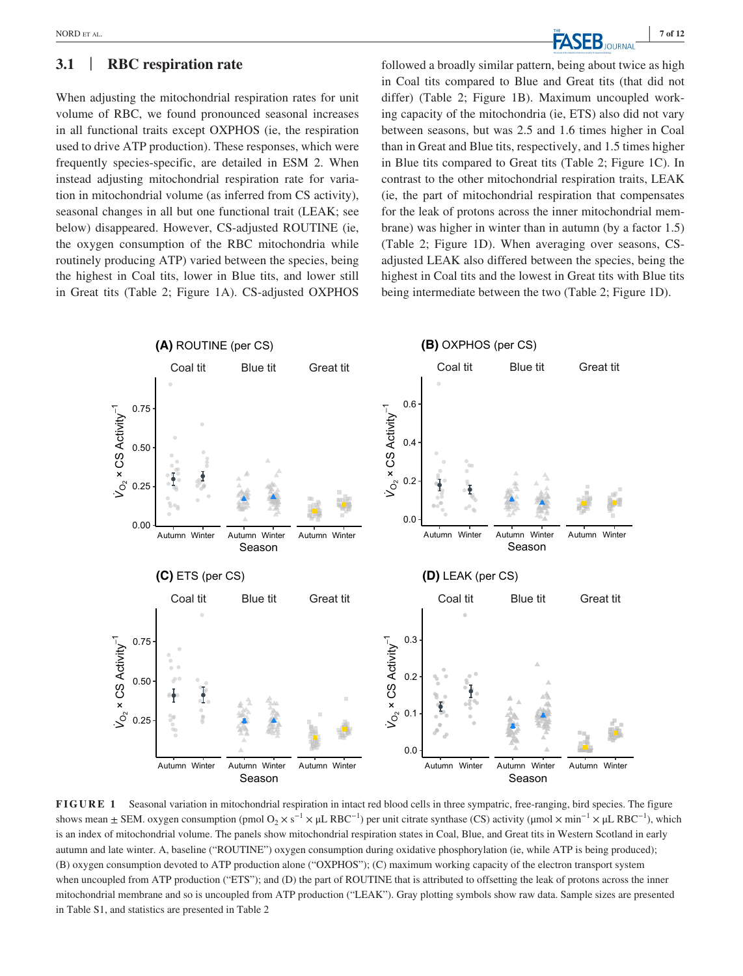### **3.1** | **RBC respiration rate**

When adjusting the mitochondrial respiration rates for unit volume of RBC, we found pronounced seasonal increases in all functional traits except OXPHOS (ie, the respiration used to drive ATP production). These responses, which were frequently species-specific, are detailed in ESM 2. When instead adjusting mitochondrial respiration rate for variation in mitochondrial volume (as inferred from CS activity), seasonal changes in all but one functional trait (LEAK; see below) disappeared. However, CS-adjusted ROUTINE (ie, the oxygen consumption of the RBC mitochondria while routinely producing ATP) varied between the species, being the highest in Coal tits, lower in Blue tits, and lower still in Great tits (Table 2; Figure 1A). CS-adjusted OXPHOS followed a broadly similar pattern, being about twice as high in Coal tits compared to Blue and Great tits (that did not differ) (Table 2; Figure 1B). Maximum uncoupled working capacity of the mitochondria (ie, ETS) also did not vary between seasons, but was 2.5 and 1.6 times higher in Coal than in Great and Blue tits, respectively, and 1.5 times higher in Blue tits compared to Great tits (Table 2; Figure 1C). In contrast to the other mitochondrial respiration traits, LEAK (ie, the part of mitochondrial respiration that compensates for the leak of protons across the inner mitochondrial membrane) was higher in winter than in autumn (by a factor 1.5) (Table 2; Figure 1D). When averaging over seasons, CSadjusted LEAK also differed between the species, being the highest in Coal tits and the lowest in Great tits with Blue tits being intermediate between the two (Table 2; Figure 1D).



**FIGURE 1** Seasonal variation in mitochondrial respiration in intact red blood cells in three sympatric, free-ranging, bird species. The figure shows mean  $\pm$  SEM. oxygen consumption (pmol O<sub>2</sub> × s<sup>-1</sup> × μL RBC<sup>-1</sup>) per unit citrate synthase (CS) activity (µmol × min<sup>-1</sup> × µL RBC<sup>-1</sup>), which is an index of mitochondrial volume. The panels show mitochondrial respiration states in Coal, Blue, and Great tits in Western Scotland in early autumn and late winter. A, baseline ("ROUTINE") oxygen consumption during oxidative phosphorylation (ie, while ATP is being produced); (B) oxygen consumption devoted to ATP production alone ("OXPHOS"); (C) maximum working capacity of the electron transport system when uncoupled from ATP production ("ETS"); and (D) the part of ROUTINE that is attributed to offsetting the leak of protons across the inner mitochondrial membrane and so is uncoupled from ATP production ("LEAK"). Gray plotting symbols show raw data. Sample sizes are presented in Table S1, and statistics are presented in Table 2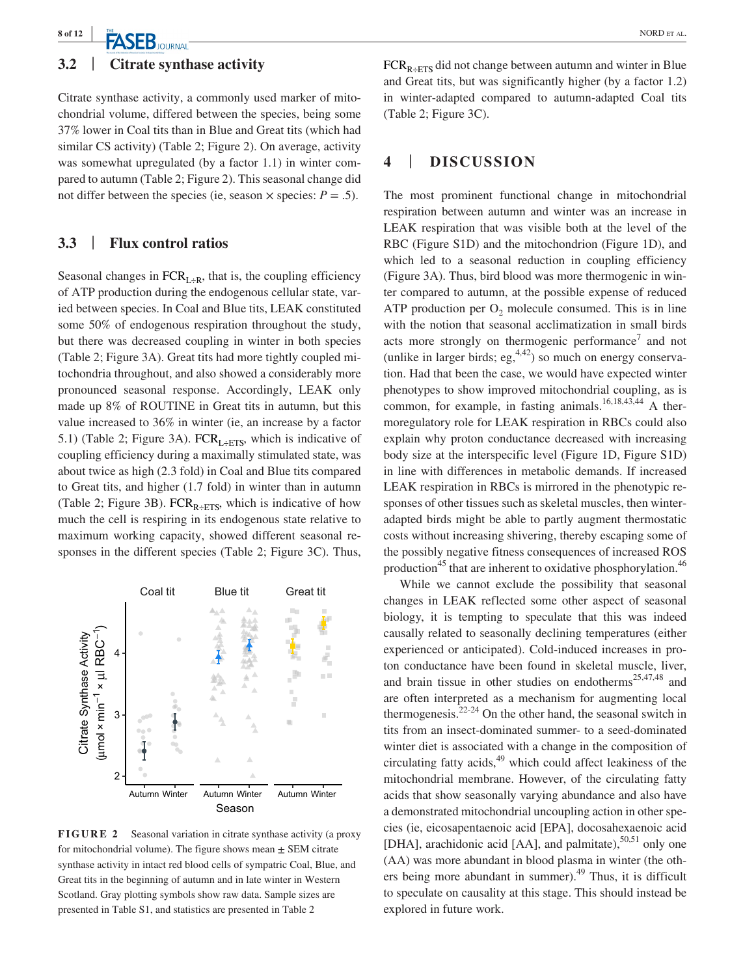# **TASEB** JOURNAL **Report CONTAINS CONTRACT AND REPARALLY ASSESSED AT A REPORT OF ALL AND REPARALLY THE ALL AND RESPONDENT ALL AND RESPONDENT ALL AND RESPONDENT ALL AND RESPONDENT ALL AND RESPONDENT ALL AND RESPONDENT ALL AN**

## **3.2** | **Citrate synthase activity**

Citrate synthase activity, a commonly used marker of mitochondrial volume, differed between the species, being some 37% lower in Coal tits than in Blue and Great tits (which had similar CS activity) (Table 2; Figure 2). On average, activity was somewhat upregulated (by a factor 1.1) in winter compared to autumn (Table 2; Figure 2). This seasonal change did not differ between the species (ie, season  $\times$  species:  $P = .5$ ).

### **3.3** | **Flux control ratios**

Seasonal changes in  $FCR_{L\div R}$ , that is, the coupling efficiency of ATP production during the endogenous cellular state, varied between species. In Coal and Blue tits, LEAK constituted some 50% of endogenous respiration throughout the study, but there was decreased coupling in winter in both species (Table 2; Figure 3A). Great tits had more tightly coupled mitochondria throughout, and also showed a considerably more pronounced seasonal response. Accordingly, LEAK only made up 8% of ROUTINE in Great tits in autumn, but this value increased to 36% in winter (ie, an increase by a factor 5.1) (Table 2; Figure 3A).  $FCR_{L+ETS}$ , which is indicative of coupling efficiency during a maximally stimulated state, was about twice as high (2.3 fold) in Coal and Blue tits compared to Great tits, and higher (1.7 fold) in winter than in autumn (Table 2; Figure 3B). FCR<sub>R÷ETS</sub>, which is indicative of how much the cell is respiring in its endogenous state relative to maximum working capacity, showed different seasonal responses in the different species (Table 2; Figure 3C). Thus,



**FIGURE 2** Seasonal variation in citrate synthase activity (a proxy for mitochondrial volume). The figure shows mean  $\pm$  SEM citrate synthase activity in intact red blood cells of sympatric Coal, Blue, and Great tits in the beginning of autumn and in late winter in Western Scotland. Gray plotting symbols show raw data. Sample sizes are presented in Table S1, and statistics are presented in Table 2

 $FCR_{R+ETS}$  did not change between autumn and winter in Blue and Great tits, but was significantly higher (by a factor 1.2) in winter-adapted compared to autumn-adapted Coal tits (Table 2; Figure 3C).

## **4** | **DISCUSSION**

The most prominent functional change in mitochondrial respiration between autumn and winter was an increase in LEAK respiration that was visible both at the level of the RBC (Figure S1D) and the mitochondrion (Figure 1D), and which led to a seasonal reduction in coupling efficiency (Figure 3A). Thus, bird blood was more thermogenic in winter compared to autumn, at the possible expense of reduced ATP production per  $O_2$  molecule consumed. This is in line with the notion that seasonal acclimatization in small birds acts more strongly on thermogenic performance<sup>7</sup> and not (unlike in larger birds; eg,  $4.42$ ) so much on energy conservation. Had that been the case, we would have expected winter phenotypes to show improved mitochondrial coupling, as is common, for example, in fasting animals.<sup>16,18,43,44</sup> A thermoregulatory role for LEAK respiration in RBCs could also explain why proton conductance decreased with increasing body size at the interspecific level (Figure 1D, Figure S1D) in line with differences in metabolic demands. If increased LEAK respiration in RBCs is mirrored in the phenotypic responses of other tissues such as skeletal muscles, then winteradapted birds might be able to partly augment thermostatic costs without increasing shivering, thereby escaping some of the possibly negative fitness consequences of increased ROS production<sup>45</sup> that are inherent to oxidative phosphorylation.<sup>46</sup>

While we cannot exclude the possibility that seasonal changes in LEAK reflected some other aspect of seasonal biology, it is tempting to speculate that this was indeed causally related to seasonally declining temperatures (either experienced or anticipated). Cold-induced increases in proton conductance have been found in skeletal muscle, liver, and brain tissue in other studies on endotherms<sup>25,47,48</sup> and are often interpreted as a mechanism for augmenting local thermogenesis. $2^{2-24}$  On the other hand, the seasonal switch in tits from an insect-dominated summer- to a seed-dominated winter diet is associated with a change in the composition of circulating fatty acids, $49$  which could affect leakiness of the mitochondrial membrane. However, of the circulating fatty acids that show seasonally varying abundance and also have a demonstrated mitochondrial uncoupling action in other species (ie, eicosapentaenoic acid [EPA], docosahexaenoic acid [DHA], arachidonic acid [AA], and palmitate), $50,51$  only one (AA) was more abundant in blood plasma in winter (the others being more abundant in summer).<sup>49</sup> Thus, it is difficult to speculate on causality at this stage. This should instead be explored in future work.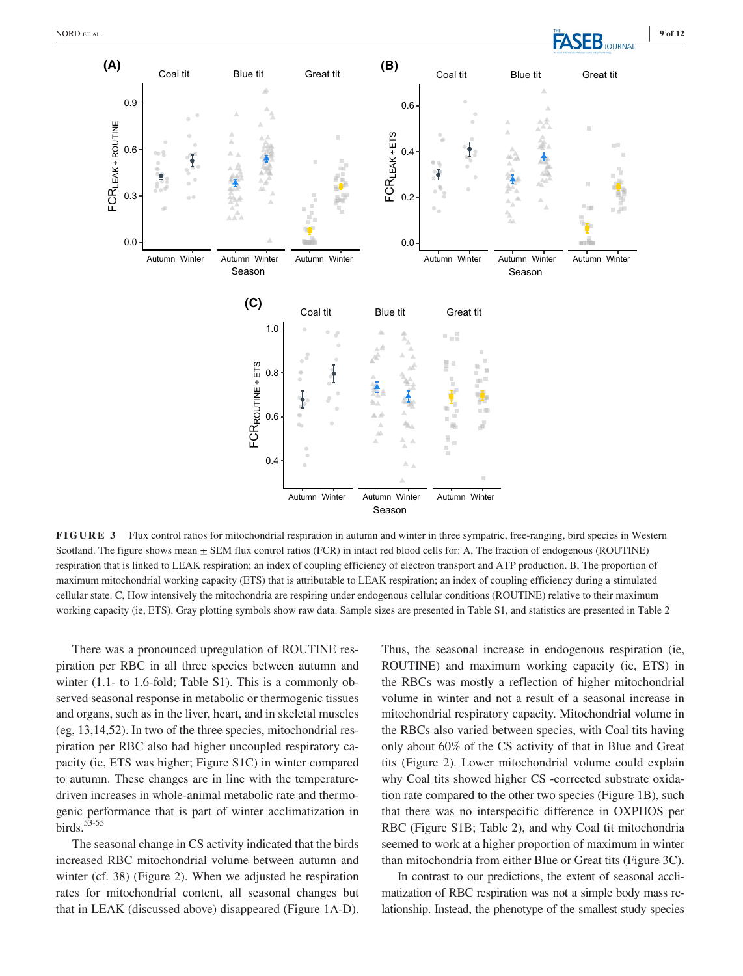

Season

**FIGURE 3** Flux control ratios for mitochondrial respiration in autumn and winter in three sympatric, free-ranging, bird species in Western Scotland. The figure shows mean  $\pm$  SEM flux control ratios (FCR) in intact red blood cells for: A, The fraction of endogenous (ROUTINE) respiration that is linked to LEAK respiration; an index of coupling efficiency of electron transport and ATP production. B, The proportion of maximum mitochondrial working capacity (ETS) that is attributable to LEAK respiration; an index of coupling efficiency during a stimulated cellular state. C, How intensively the mitochondria are respiring under endogenous cellular conditions (ROUTINE) relative to their maximum working capacity (ie, ETS). Gray plotting symbols show raw data. Sample sizes are presented in Table S1, and statistics are presented in Table 2

There was a pronounced upregulation of ROUTINE respiration per RBC in all three species between autumn and winter (1.1- to 1.6-fold; Table S1). This is a commonly observed seasonal response in metabolic or thermogenic tissues and organs, such as in the liver, heart, and in skeletal muscles (eg, 13,14,52). In two of the three species, mitochondrial respiration per RBC also had higher uncoupled respiratory capacity (ie, ETS was higher; Figure S1C) in winter compared to autumn. These changes are in line with the temperaturedriven increases in whole-animal metabolic rate and thermogenic performance that is part of winter acclimatization in birds. $53-55$ 

The seasonal change in CS activity indicated that the birds increased RBC mitochondrial volume between autumn and winter (cf. 38) (Figure 2). When we adjusted he respiration rates for mitochondrial content, all seasonal changes but that in LEAK (discussed above) disappeared (Figure 1A-D). Thus, the seasonal increase in endogenous respiration (ie, ROUTINE) and maximum working capacity (ie, ETS) in the RBCs was mostly a reflection of higher mitochondrial volume in winter and not a result of a seasonal increase in mitochondrial respiratory capacity. Mitochondrial volume in the RBCs also varied between species, with Coal tits having only about 60% of the CS activity of that in Blue and Great tits (Figure 2). Lower mitochondrial volume could explain why Coal tits showed higher CS -corrected substrate oxidation rate compared to the other two species (Figure 1B), such that there was no interspecific difference in OXPHOS per RBC (Figure S1B; Table 2), and why Coal tit mitochondria seemed to work at a higher proportion of maximum in winter than mitochondria from either Blue or Great tits (Figure 3C).

In contrast to our predictions, the extent of seasonal acclimatization of RBC respiration was not a simple body mass relationship. Instead, the phenotype of the smallest study species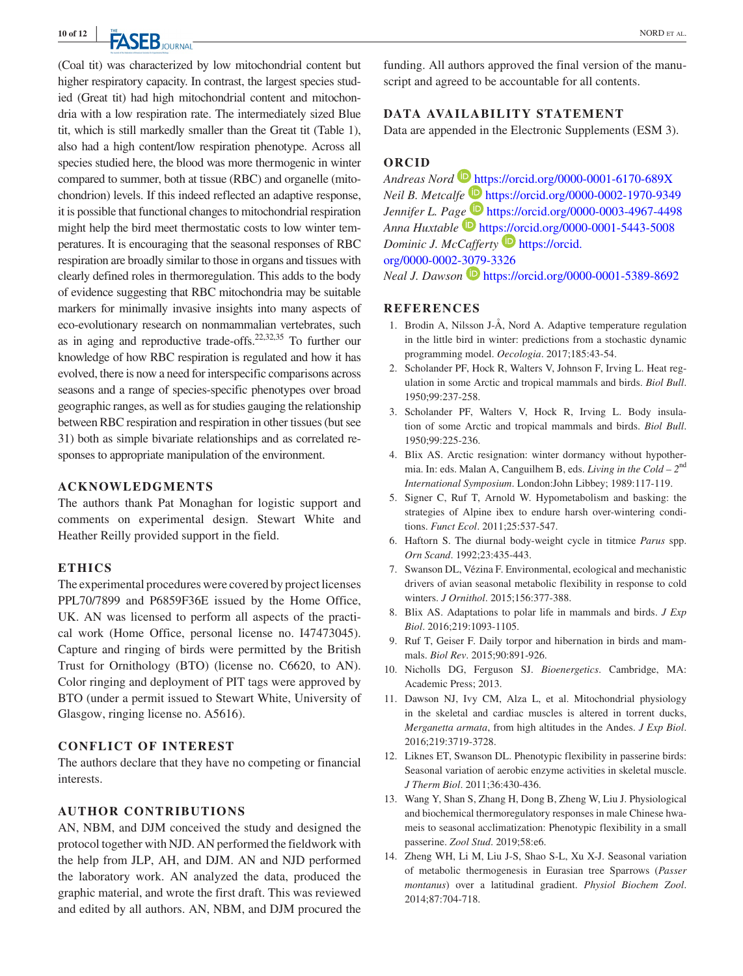**EX CED** NORD ET AL.

(Coal tit) was characterized by low mitochondrial content but higher respiratory capacity. In contrast, the largest species studied (Great tit) had high mitochondrial content and mitochondria with a low respiration rate. The intermediately sized Blue tit, which is still markedly smaller than the Great tit (Table 1), also had a high content/low respiration phenotype. Across all species studied here, the blood was more thermogenic in winter compared to summer, both at tissue (RBC) and organelle (mitochondrion) levels. If this indeed reflected an adaptive response, it is possible that functional changes to mitochondrial respiration might help the bird meet thermostatic costs to low winter temperatures. It is encouraging that the seasonal responses of RBC respiration are broadly similar to those in organs and tissues with clearly defined roles in thermoregulation. This adds to the body of evidence suggesting that RBC mitochondria may be suitable markers for minimally invasive insights into many aspects of eco-evolutionary research on nonmammalian vertebrates, such as in aging and reproductive trade-offs.22,32,35 To further our knowledge of how RBC respiration is regulated and how it has evolved, there is now a need for interspecific comparisons across seasons and a range of species-specific phenotypes over broad geographic ranges, as well as for studies gauging the relationship between RBC respiration and respiration in other tissues (but see 31) both as simple bivariate relationships and as correlated responses to appropriate manipulation of the environment.

### **ACKNOWLEDGMENTS**

The authors thank Pat Monaghan for logistic support and comments on experimental design. Stewart White and Heather Reilly provided support in the field.

### **ETHICS**

The experimental procedures were covered by project licenses PPL70/7899 and P6859F36E issued by the Home Office, UK. AN was licensed to perform all aspects of the practical work (Home Office, personal license no. I47473045). Capture and ringing of birds were permitted by the British Trust for Ornithology (BTO) (license no. C6620, to AN). Color ringing and deployment of PIT tags were approved by BTO (under a permit issued to Stewart White, University of Glasgow, ringing license no. A5616).

### **CONFLICT OF INTEREST**

The authors declare that they have no competing or financial interests.

### **AUTHOR CONTRIBUTIONS**

AN, NBM, and DJM conceived the study and designed the protocol together with NJD. AN performed the fieldwork with the help from JLP, AH, and DJM. AN and NJD performed the laboratory work. AN analyzed the data, produced the graphic material, and wrote the first draft. This was reviewed and edited by all authors. AN, NBM, and DJM procured the

funding. All authors approved the final version of the manuscript and agreed to be accountable for all contents.

### **DATA AVAILABILITY STATEMENT**

Data are appended in the Electronic Supplements (ESM 3).

## **ORCID**

*Andreas Nord* <https://orcid.org/0000-0001-6170-689X> *Neil B. Metcalfe* <https://orcid.org/0000-0002-1970-9349> *Jennifer L. Pa[ge](https://orcid.org/0000-0001-5443-5008)* **D** <https://orcid.org/0000-0003-4967-4498> *Anna Huxtable* <https://orcid.org/0000-0001-5443-5008> *Dominic J. McCafferty* **D** [https://orcid.](https://orcid.org/0000-0002-3079-3326) [org/0000-0002-3079-3326](https://orcid.org/0000-0002-3079-3326)

*Neal J. Dawson* **D** <https://orcid.org/0000-0001-5389-8692>

### **REFERENCES**

- 1. Brodin A, Nilsson J-Å, Nord A. Adaptive temperature regulation in the little bird in winter: predictions from a stochastic dynamic programming model. *Oecologia*. 2017;185:43-54.
- 2. Scholander PF, Hock R, Walters V, Johnson F, Irving L. Heat regulation in some Arctic and tropical mammals and birds. *Biol Bull*. 1950;99:237-258.
- 3. Scholander PF, Walters V, Hock R, Irving L. Body insulation of some Arctic and tropical mammals and birds. *Biol Bull*. 1950;99:225-236.
- 4. Blix AS. Arctic resignation: winter dormancy without hypothermia. In: eds. Malan A, Canguilhem B, eds. *Living in the Cold – 2*nd *International Symposium*. London:John Libbey; 1989:117-119.
- 5. Signer C, Ruf T, Arnold W. Hypometabolism and basking: the strategies of Alpine ibex to endure harsh over-wintering conditions. *Funct Ecol*. 2011;25:537-547.
- 6. Haftorn S. The diurnal body-weight cycle in titmice *Parus* spp. *Orn Scand*. 1992;23:435-443.
- 7. Swanson DL, Vézina F. Environmental, ecological and mechanistic drivers of avian seasonal metabolic flexibility in response to cold winters. *J Ornithol*. 2015;156:377-388.
- 8. Blix AS. Adaptations to polar life in mammals and birds. *J Exp Biol*. 2016;219:1093-1105.
- 9. Ruf T, Geiser F. Daily torpor and hibernation in birds and mammals. *Biol Rev*. 2015;90:891-926.
- 10. Nicholls DG, Ferguson SJ. *Bioenergetics*. Cambridge, MA: Academic Press; 2013.
- 11. Dawson NJ, Ivy CM, Alza L, et al. Mitochondrial physiology in the skeletal and cardiac muscles is altered in torrent ducks, *Merganetta armata*, from high altitudes in the Andes. *J Exp Biol*. 2016;219:3719-3728.
- 12. Liknes ET, Swanson DL. Phenotypic flexibility in passerine birds: Seasonal variation of aerobic enzyme activities in skeletal muscle. *J Therm Biol*. 2011;36:430-436.
- 13. Wang Y, Shan S, Zhang H, Dong B, Zheng W, Liu J. Physiological and biochemical thermoregulatory responses in male Chinese hwameis to seasonal acclimatization: Phenotypic flexibility in a small passerine. *Zool Stud*. 2019;58:e6.
- 14. Zheng WH, Li M, Liu J-S, Shao S-L, Xu X-J. Seasonal variation of metabolic thermogenesis in Eurasian tree Sparrows (*Passer montanus*) over a latitudinal gradient. *Physiol Biochem Zool*. 2014;87:704-718.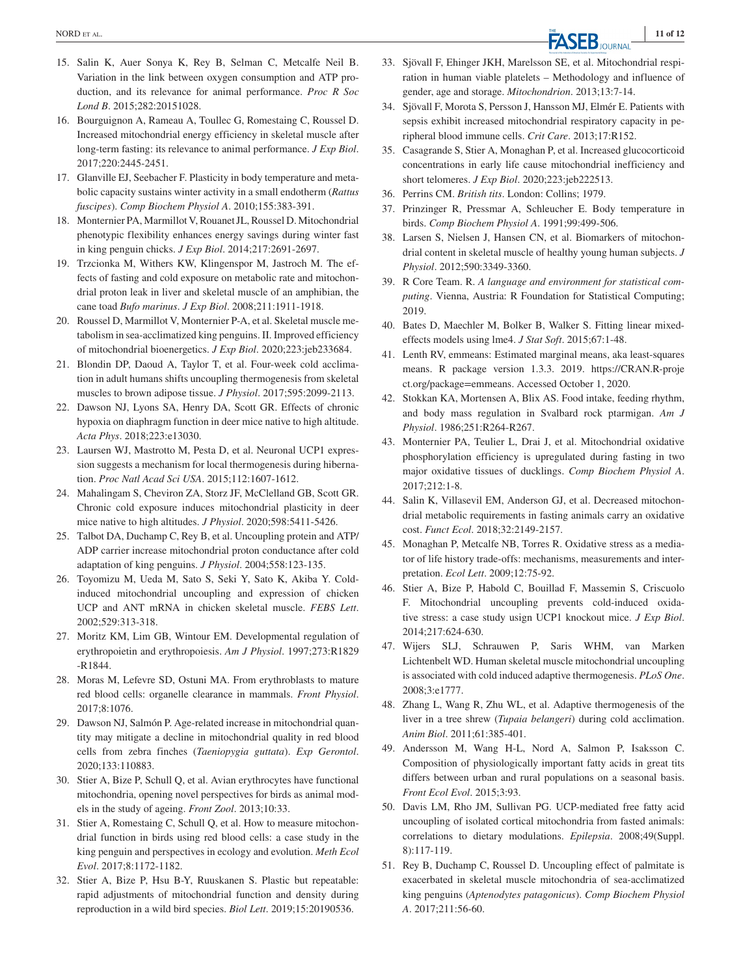- 15. Salin K, Auer Sonya K, Rey B, Selman C, Metcalfe Neil B. Variation in the link between oxygen consumption and ATP production, and its relevance for animal performance. *Proc R Soc Lond B*. 2015;282:20151028.
- 16. Bourguignon A, Rameau A, Toullec G, Romestaing C, Roussel D. Increased mitochondrial energy efficiency in skeletal muscle after long-term fasting: its relevance to animal performance. *J Exp Biol*. 2017;220:2445-2451.
- 17. Glanville EJ, Seebacher F. Plasticity in body temperature and metabolic capacity sustains winter activity in a small endotherm (*Rattus fuscipes*). *Comp Biochem Physiol A*. 2010;155:383-391.
- 18. Monternier PA, Marmillot V, Rouanet JL, Roussel D. Mitochondrial phenotypic flexibility enhances energy savings during winter fast in king penguin chicks. *J Exp Biol*. 2014;217:2691-2697.
- 19. Trzcionka M, Withers KW, Klingenspor M, Jastroch M. The effects of fasting and cold exposure on metabolic rate and mitochondrial proton leak in liver and skeletal muscle of an amphibian, the cane toad *Bufo marinus*. *J Exp Biol*. 2008;211:1911-1918.
- 20. Roussel D, Marmillot V, Monternier P-A, et al. Skeletal muscle metabolism in sea-acclimatized king penguins. II. Improved efficiency of mitochondrial bioenergetics. *J Exp Biol*. 2020;223:jeb233684.
- 21. Blondin DP, Daoud A, Taylor T, et al. Four-week cold acclimation in adult humans shifts uncoupling thermogenesis from skeletal muscles to brown adipose tissue. *J Physiol*. 2017;595:2099-2113.
- 22. Dawson NJ, Lyons SA, Henry DA, Scott GR. Effects of chronic hypoxia on diaphragm function in deer mice native to high altitude. *Acta Phys*. 2018;223:e13030.
- 23. Laursen WJ, Mastrotto M, Pesta D, et al. Neuronal UCP1 expression suggests a mechanism for local thermogenesis during hibernation. *Proc Natl Acad Sci USA*. 2015;112:1607-1612.
- 24. Mahalingam S, Cheviron ZA, Storz JF, McClelland GB, Scott GR. Chronic cold exposure induces mitochondrial plasticity in deer mice native to high altitudes. *J Physiol*. 2020;598:5411-5426.
- 25. Talbot DA, Duchamp C, Rey B, et al. Uncoupling protein and ATP/ ADP carrier increase mitochondrial proton conductance after cold adaptation of king penguins. *J Physiol*. 2004;558:123-135.
- 26. Toyomizu M, Ueda M, Sato S, Seki Y, Sato K, Akiba Y. Coldinduced mitochondrial uncoupling and expression of chicken UCP and ANT mRNA in chicken skeletal muscle. *FEBS Lett*. 2002;529:313-318.
- 27. Moritz KM, Lim GB, Wintour EM. Developmental regulation of erythropoietin and erythropoiesis. *Am J Physiol*. 1997;273:R1829 -R1844.
- 28. Moras M, Lefevre SD, Ostuni MA. From erythroblasts to mature red blood cells: organelle clearance in mammals. *Front Physiol*. 2017;8:1076.
- 29. Dawson NJ, Salmón P. Age-related increase in mitochondrial quantity may mitigate a decline in mitochondrial quality in red blood cells from zebra finches (*Taeniopygia guttata*). *Exp Gerontol*. 2020;133:110883.
- 30. Stier A, Bize P, Schull Q, et al. Avian erythrocytes have functional mitochondria, opening novel perspectives for birds as animal models in the study of ageing. *Front Zool*. 2013;10:33.
- 31. Stier A, Romestaing C, Schull Q, et al. How to measure mitochondrial function in birds using red blood cells: a case study in the king penguin and perspectives in ecology and evolution. *Meth Ecol Evol*. 2017;8:1172-1182.
- 32. Stier A, Bize P, Hsu B-Y, Ruuskanen S. Plastic but repeatable: rapid adjustments of mitochondrial function and density during reproduction in a wild bird species. *Biol Lett*. 2019;15:20190536.
- 33. Sjövall F, Ehinger JKH, Marelsson SE, et al. Mitochondrial respiration in human viable platelets – Methodology and influence of gender, age and storage. *Mitochondrion*. 2013;13:7-14.
- 34. Sjövall F, Morota S, Persson J, Hansson MJ, Elmér E. Patients with sepsis exhibit increased mitochondrial respiratory capacity in peripheral blood immune cells. *Crit Care*. 2013;17:R152.
- 35. Casagrande S, Stier A, Monaghan P, et al. Increased glucocorticoid concentrations in early life cause mitochondrial inefficiency and short telomeres. *J Exp Biol*. 2020;223:jeb222513.
- 36. Perrins CM. *British tits*. London: Collins; 1979.
- 37. Prinzinger R, Pressmar A, Schleucher E. Body temperature in birds. *Comp Biochem Physiol A*. 1991;99:499-506.
- 38. Larsen S, Nielsen J, Hansen CN, et al. Biomarkers of mitochondrial content in skeletal muscle of healthy young human subjects. *J Physiol*. 2012;590:3349-3360.
- 39. R Core Team. R. *A language and environment for statistical computing*. Vienna, Austria: R Foundation for Statistical Computing; 2019.
- 40. Bates D, Maechler M, Bolker B, Walker S. Fitting linear mixedeffects models using lme4. *J Stat Soft*. 2015;67:1-48.
- 41. Lenth RV, emmeans: Estimated marginal means, aka least-squares means. R package version 1.3.3. 2019. [https://CRAN.R-proje](https://CRAN.R-project.org/package=emmeans) [ct.org/package=emmeans](https://CRAN.R-project.org/package=emmeans). Accessed October 1, 2020.
- 42. Stokkan KA, Mortensen A, Blix AS. Food intake, feeding rhythm, and body mass regulation in Svalbard rock ptarmigan. *Am J Physiol*. 1986;251:R264-R267.
- 43. Monternier PA, Teulier L, Drai J, et al. Mitochondrial oxidative phosphorylation efficiency is upregulated during fasting in two major oxidative tissues of ducklings. *Comp Biochem Physiol A*. 2017;212:1-8.
- 44. Salin K, Villasevil EM, Anderson GJ, et al. Decreased mitochondrial metabolic requirements in fasting animals carry an oxidative cost. *Funct Ecol*. 2018;32:2149-2157.
- 45. Monaghan P, Metcalfe NB, Torres R. Oxidative stress as a mediator of life history trade-offs: mechanisms, measurements and interpretation. *Ecol Lett*. 2009;12:75-92.
- 46. Stier A, Bize P, Habold C, Bouillad F, Massemin S, Criscuolo F. Mitochondrial uncoupling prevents cold-induced oxidative stress: a case study usign UCP1 knockout mice. *J Exp Biol*. 2014;217:624-630.
- 47. Wijers SLJ, Schrauwen P, Saris WHM, van Marken Lichtenbelt WD. Human skeletal muscle mitochondrial uncoupling is associated with cold induced adaptive thermogenesis. *PLoS One*. 2008;3:e1777.
- 48. Zhang L, Wang R, Zhu WL, et al. Adaptive thermogenesis of the liver in a tree shrew (*Tupaia belangeri*) during cold acclimation. *Anim Biol*. 2011;61:385-401.
- 49. Andersson M, Wang H-L, Nord A, Salmon P, Isaksson C. Composition of physiologically important fatty acids in great tits differs between urban and rural populations on a seasonal basis. *Front Ecol Evol*. 2015;3:93.
- 50. Davis LM, Rho JM, Sullivan PG. UCP-mediated free fatty acid uncoupling of isolated cortical mitochondria from fasted animals: correlations to dietary modulations. *Epilepsia*. 2008;49(Suppl. 8):117-119.
- 51. Rey B, Duchamp C, Roussel D. Uncoupling effect of palmitate is exacerbated in skeletal muscle mitochondria of sea-acclimatized king penguins (*Aptenodytes patagonicus*). *Comp Biochem Physiol A*. 2017;211:56-60.